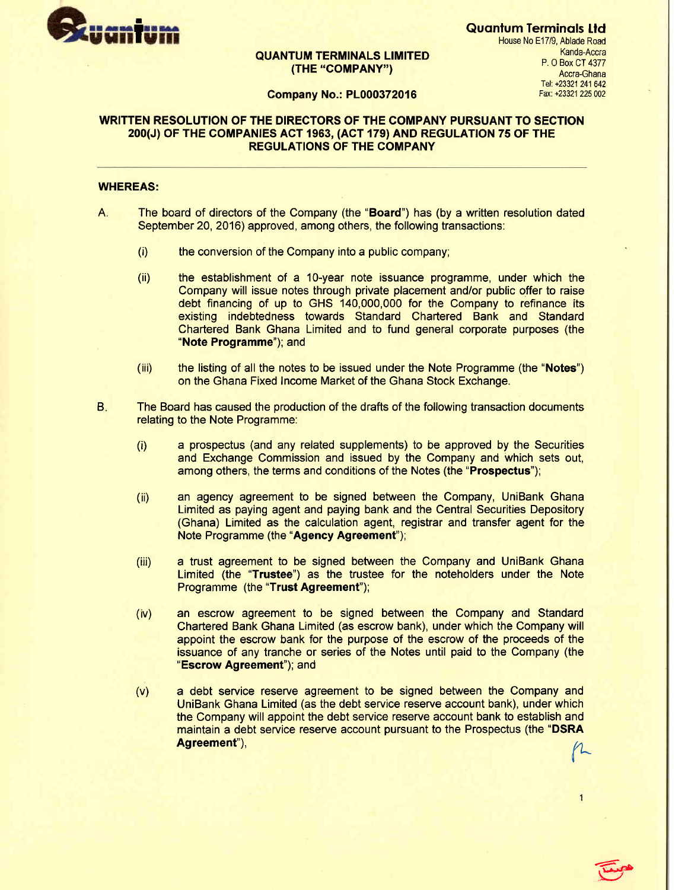

## QUANTUM TERMINALS LIMITED (THE "COMPANY")

Quantum Terminals Ltd House No E17/9, Ablade Road Kanda-Accra P. O Box CT 4377 Accra-Ghana fet +23321 241 642 Fax: +23321 225 002

#### Company No.: PL000372016

## WRITTEN RESOLUTION OF THE DIRECTORS OF THE COMPANY PURSUANT TO SECTION 200(J) OF THE COMPANIES ACT 1963, (ACT 179) AND REGULATION 75 OF THE REGULATIONS OF THE COMPANY

#### WHEREAS:

- The board of directors of the Company (the "Board") has (by a written resolution dated September 20, 2016) approved, among others, the following transactions:  $A_i$ 
	- the conversion of the Company into a public company; (i)
	- the establishment of a 1O-year note issuance programme, under which the Company will issue notes through private placement and/or public offer to raise debt financing of up to GHS 140,000,000 for the Company to refinance its existing indebtedness towards Standard Chartered Bank and Standard Chartered Bank Ghana Limited and to fund general corporate purposes (the "Note Programme"); and  $(ii)$
	- the listing of all the notes to be issued under the Note Programme (the "Notes") on the Ghana Fixed Income Market of the Ghana Stock Exchange.  $(iii)$
- The Board has caused the production of the drafts of the following transaction documents relating to the Note Programme:  $B<sub>1</sub>$ 
	- a prospectus (and any related supplements) to be approved by the Securities and Exchange Commission and issued by the Company and which sets out, among others, the terms and conditions of the Notes (the "Prospectus"); (i)
	- an agency agreement to be signed between the Company, UniBank Ghana Limited as paying agent and paying bank and the Central Securities Depository (Ghana) Limited as the calculation agent, registrar and transfer agent for the Note Programme (the "Agency Agreement");  $(ii)$
	- a trust agreement to be signed between the Company and UniBank Ghana Limited (the "Trustee") as the trustee for the noteholders under the Note Programme (the "Trust Agreement"); (iii)
	- an escrow agreement to be signed between the Company and Standard Chartered Bank Ghana Limited (as escrow bank), under which the Company will appoint the escrow bank for the purpose of the escrow of the proceeds of the issuance of any tranche or series of the Notes until paid to the Company (the "Escrow Agreement"); and  $(iv)$
	- a debt service reserve agreement to be signed between the Company and UniBank Ghana Limited (as the debt service reserve account bank), under which the Company will appoint the debt service reserve account bank to establish and maintain a debt service reserve account pursuant to the Prospectus (the "DSRA Agreement"), flatter that the control of the control of the composite (the state of the flatter of  $\beta$ (v)

 $\epsilon$